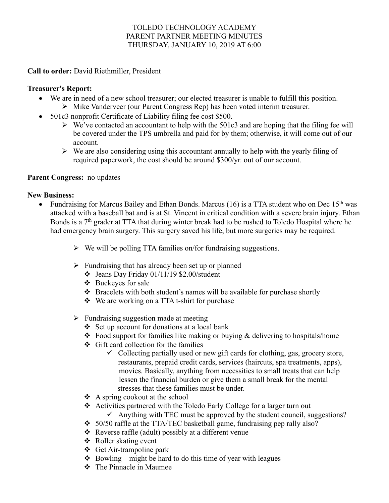## TOLEDO TECHNOLOGY ACADEMY PARENT PARTNER MEETING MINUTES THURSDAY, JANUARY 10, 2019 AT 6:00

# **Call to order:** David Riethmiller, President

# **Treasurer's Report:**

- We are in need of a new school treasurer; our elected treasurer is unable to fulfill this position. Ø Mike Vanderveer (our Parent Congress Rep) has been voted interim treasurer.
- 501c3 nonprofit Certificate of Liability filing fee cost \$500.
	- $\triangleright$  We've contacted an accountant to help with the 501c3 and are hoping that the filing fee will be covered under the TPS umbrella and paid for by them; otherwise, it will come out of our account.
	- $\triangleright$  We are also considering using this accountant annually to help with the yearly filing of required paperwork, the cost should be around \$300/yr. out of our account.

## **Parent Congress:** no updates

#### **New Business:**

- Fundraising for Marcus Bailey and Ethan Bonds. Marcus (16) is a TTA student who on Dec  $15<sup>th</sup>$  was attacked with a baseball bat and is at St. Vincent in critical condition with a severe brain injury. Ethan Bonds is a  $7<sup>th</sup>$  grader at TTA that during winter break had to be rushed to Toledo Hospital where he had emergency brain surgery. This surgery saved his life, but more surgeries may be required.
	- $\triangleright$  We will be polling TTA families on/for fundraising suggestions.
	- $\triangleright$  Fundraising that has already been set up or planned
		- $\div$  Jeans Day Friday 01/11/19 \$2.00/student
		- v Buckeyes for sale
		- $\triangleleft$  Bracelets with both student's names will be available for purchase shortly
		- $\div$  We are working on a TTA t-shirt for purchase
	- $\triangleright$  Fundraising suggestion made at meeting
		- $\div$  Set up account for donations at a local bank
		- $\triangle$  Food support for families like making or buying & delivering to hospitals/home
		- $\div$  Gift card collection for the families
			- $\checkmark$  Collecting partially used or new gift cards for clothing, gas, grocery store, restaurants, prepaid credit cards, services (haircuts, spa treatments, apps), movies. Basically, anything from necessities to small treats that can help lessen the financial burden or give them a small break for the mental stresses that these families must be under.
		- $\triangle$  A spring cookout at the school
		- \* Activities partnered with the Toledo Early College for a larger turn out
			- $\checkmark$  Anything with TEC must be approved by the student council, suggestions?
		- $\div$  50/50 raffle at the TTA/TEC basketball game, fundraising pep rally also?
		- $\triangle$  Reverse raffle (adult) possibly at a different venue
		- ❖ Roller skating event
		- $\div$  Get Air-trampoline park
		- $\triangleleft$  Bowling might be hard to do this time of year with leagues
		- $\div$  The Pinnacle in Maumee